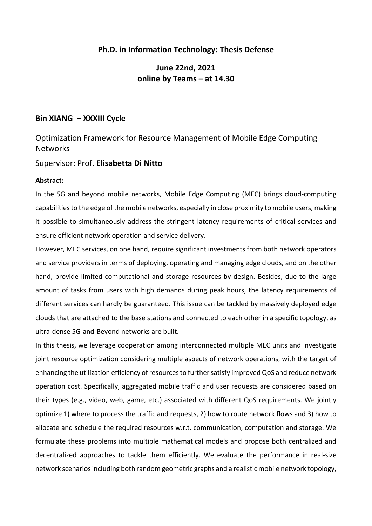## **Ph.D. in Information Technology: Thesis Defense**

## **June 22nd, 2021 online by Teams – at 14.30**

### **Bin XIANG – XXXIII Cycle**

# Optimization Framework for Resource Management of Mobile Edge Computing **Networks**

#### Supervisor: Prof. **Elisabetta Di Nitto**

#### **Abstract:**

In the 5G and beyond mobile networks, Mobile Edge Computing (MEC) brings cloud-computing capabilities to the edge of the mobile networks, especially in close proximity to mobile users, making it possible to simultaneously address the stringent latency requirements of critical services and ensure efficient network operation and service delivery.

However, MEC services, on one hand, require significant investments from both network operators and service providers in terms of deploying, operating and managing edge clouds, and on the other hand, provide limited computational and storage resources by design. Besides, due to the large amount of tasks from users with high demands during peak hours, the latency requirements of different services can hardly be guaranteed. This issue can be tackled by massively deployed edge clouds that are attached to the base stations and connected to each other in a specific topology, as ultra-dense 5G-and-Beyond networks are built.

In this thesis, we leverage cooperation among interconnected multiple MEC units and investigate joint resource optimization considering multiple aspects of network operations, with the target of enhancing the utilization efficiency of resources to further satisfy improved QoS and reduce network operation cost. Specifically, aggregated mobile traffic and user requests are considered based on their types (e.g., video, web, game, etc.) associated with different QoS requirements. We jointly optimize 1) where to process the traffic and requests, 2) how to route network flows and 3) how to allocate and schedule the required resources w.r.t. communication, computation and storage. We formulate these problems into multiple mathematical models and propose both centralized and decentralized approaches to tackle them efficiently. We evaluate the performance in real-size network scenarios including both random geometric graphs and a realistic mobile network topology,